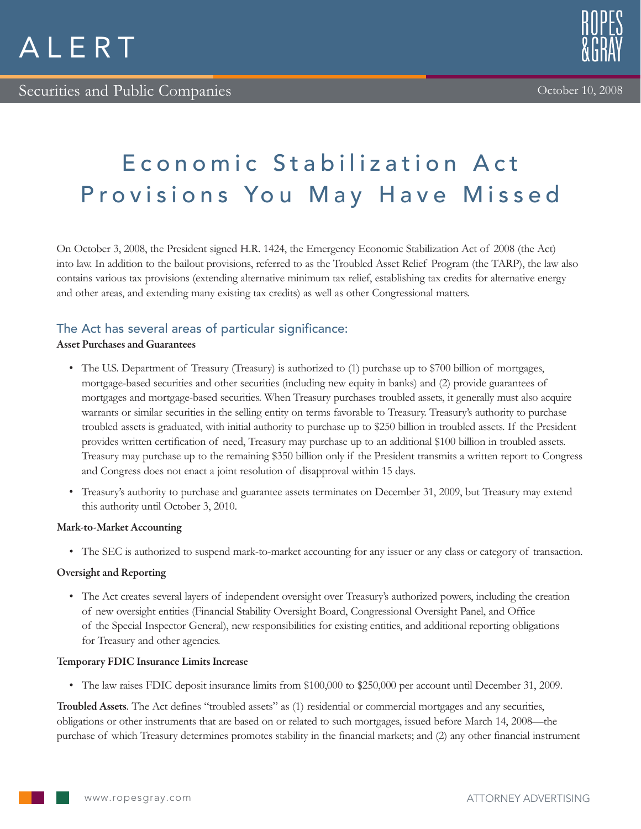



# E conomic Stabilization Act Provisions You May Have Missed

On October 3, 2008, the President signed H.R. 1424, the Emergency Economic Stabilization Act of 2008 (the Act) into law. In addition to the bailout provisions, referred to as the Troubled Asset Relief Program (the TARP), the law also contains various tax provisions (extending alternative minimum tax relief, establishing tax credits for alternative energy and other areas, and extending many existing tax credits) as well as other Congressional matters.

# The Act has several areas of particular significance:

#### Asset Purchases and Guarantees

- The U.S. Department of Treasury (Treasury) is authorized to (1) purchase up to \$700 billion of mortgages, mortgage-based securities and other securities (including new equity in banks) and (2) provide guarantees of mortgages and mortgage-based securities. When Treasury purchases troubled assets, it generally must also acquire warrants or similar securities in the selling entity on terms favorable to Treasury. Treasury's authority to purchase troubled assets is graduated, with initial authority to purchase up to \$250 billion in troubled assets. If the President provides written certification of need, Treasury may purchase up to an additional \$100 billion in troubled assets. Treasury may purchase up to the remaining \$350 billion only if the President transmits a written report to Congress and Congress does not enact a joint resolution of disapproval within 15 days.
- • Treasury's authority to purchase and guarantee assets terminates on December 31, 2009, but Treasury may extend this authority until October 3, 2010.

## Mark-to-Market Accounting

• The SEC is authorized to suspend mark-to-market accounting for any issuer or any class or category of transaction.

## Oversight and Reporting

• The Act creates several layers of independent oversight over Treasury's authorized powers, including the creation of new oversight entities (Financial Stability Oversight Board, Congressional Oversight Panel, and Office of the Special Inspector General), new responsibilities for existing entities, and additional reporting obligations for Treasury and other agencies.

#### Temporary FDIC Insurance Limits Increase

• The law raises FDIC deposit insurance limits from \$100,000 to \$250,000 per account until December 31, 2009.

Troubled Assets. The Act defines "troubled assets" as (1) residential or commercial mortgages and any securities, obligations or other instruments that are based on or related to such mortgages, issued before March 14, 2008—the purchase of which Treasury determines promotes stability in the financial markets; and (2) any other financial instrument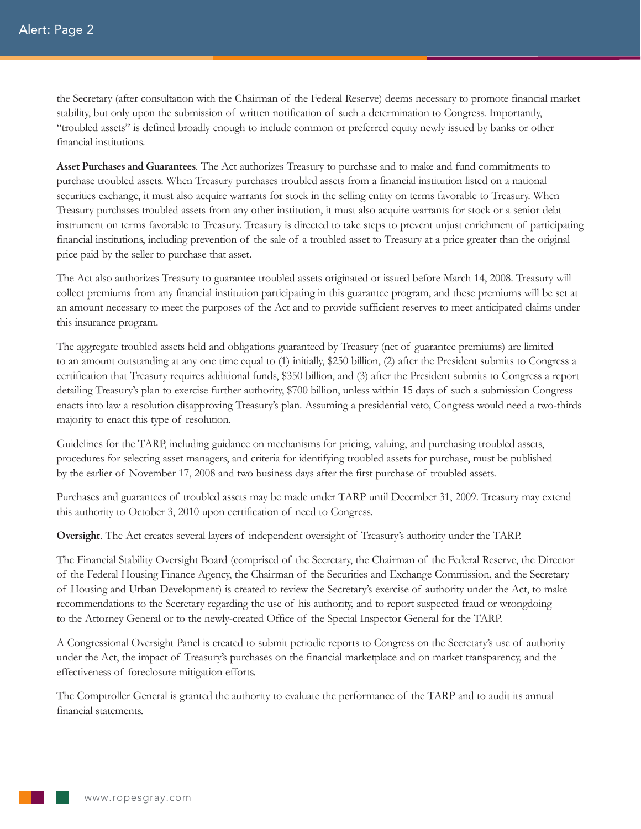the Secretary (after consultation with the Chairman of the Federal Reserve) deems necessary to promote financial market stability, but only upon the submission of written notification of such a determination to Congress. Importantly, "troubled assets" is defined broadly enough to include common or preferred equity newly issued by banks or other financial institutions.

Asset Purchases and Guarantees. The Act authorizes Treasury to purchase and to make and fund commitments to purchase troubled assets. When Treasury purchases troubled assets from a financial institution listed on a national securities exchange, it must also acquire warrants for stock in the selling entity on terms favorable to Treasury. When Treasury purchases troubled assets from any other institution, it must also acquire warrants for stock or a senior debt instrument on terms favorable to Treasury. Treasury is directed to take steps to prevent unjust enrichment of participating financial institutions, including prevention of the sale of a troubled asset to Treasury at a price greater than the original price paid by the seller to purchase that asset.

The Act also authorizes Treasury to guarantee troubled assets originated or issued before March 14, 2008. Treasury will collect premiums from any financial institution participating in this guarantee program, and these premiums will be set at an amount necessary to meet the purposes of the Act and to provide sufficient reserves to meet anticipated claims under this insurance program.

The aggregate troubled assets held and obligations guaranteed by Treasury (net of guarantee premiums) are limited to an amount outstanding at any one time equal to (1) initially, \$250 billion, (2) after the President submits to Congress a certification that Treasury requires additional funds, \$350 billion, and (3) after the President submits to Congress a report detailing Treasury's plan to exercise further authority, \$700 billion, unless within 15 days of such a submission Congress enacts into law a resolution disapproving Treasury's plan. Assuming a presidential veto, Congress would need a two-thirds majority to enact this type of resolution.

Guidelines for the TARP, including guidance on mechanisms for pricing, valuing, and purchasing troubled assets, procedures for selecting asset managers, and criteria for identifying troubled assets for purchase, must be published by the earlier of November 17, 2008 and two business days after the first purchase of troubled assets.

Purchases and guarantees of troubled assets may be made under TARP until December 31, 2009. Treasury may extend this authority to October 3, 2010 upon certification of need to Congress.

Oversight. The Act creates several layers of independent oversight of Treasury's authority under the TARP.

The Financial Stability Oversight Board (comprised of the Secretary, the Chairman of the Federal Reserve, the Director of the Federal Housing Finance Agency, the Chairman of the Securities and Exchange Commission, and the Secretary of Housing and Urban Development) is created to review the Secretary's exercise of authority under the Act, to make recommendations to the Secretary regarding the use of his authority, and to report suspected fraud or wrongdoing to the Attorney General or to the newly-created Office of the Special Inspector General for the TARP.

A Congressional Oversight Panel is created to submit periodic reports to Congress on the Secretary's use of authority under the Act, the impact of Treasury's purchases on the financial marketplace and on market transparency, and the effectiveness of foreclosure mitigation efforts.

The Comptroller General is granted the authority to evaluate the performance of the TARP and to audit its annual financial statements.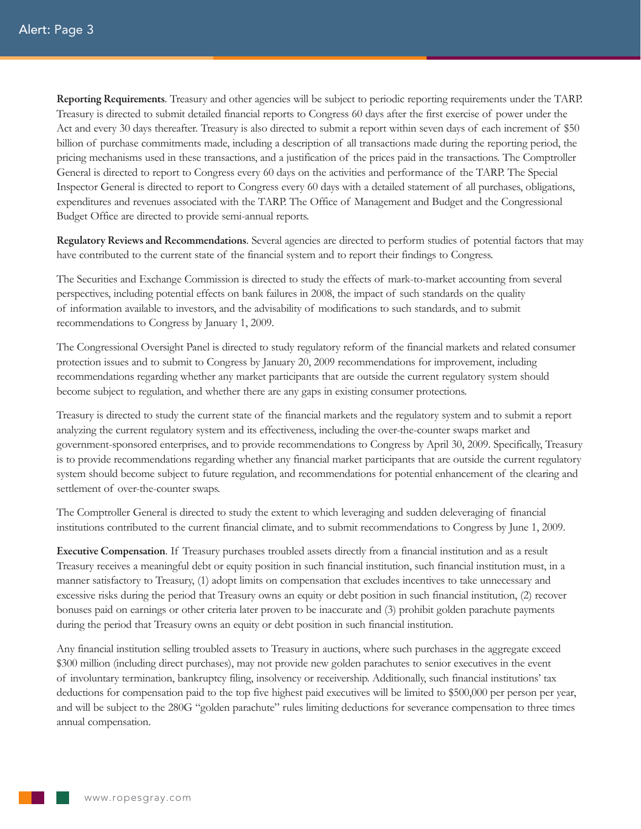Reporting Requirements. Treasury and other agencies will be subject to periodic reporting requirements under the TARP. Treasury is directed to submit detailed financial reports to Congress 60 days after the first exercise of power under the Act and every 30 days thereafter. Treasury is also directed to submit a report within seven days of each increment of \$50 billion of purchase commitments made, including a description of all transactions made during the reporting period, the pricing mechanisms used in these transactions, and a justification of the prices paid in the transactions. The Comptroller General is directed to report to Congress every 60 days on the activities and performance of the TARP. The Special Inspector General is directed to report to Congress every 60 days with a detailed statement of all purchases, obligations, expenditures and revenues associated with the TARP. The Office of Management and Budget and the Congressional Budget Office are directed to provide semi-annual reports.

Regulatory Reviews and Recommendations. Several agencies are directed to perform studies of potential factors that may have contributed to the current state of the financial system and to report their findings to Congress.

The Securities and Exchange Commission is directed to study the effects of mark-to-market accounting from several perspectives, including potential effects on bank failures in 2008, the impact of such standards on the quality of information available to investors, and the advisability of modifications to such standards, and to submit recommendations to Congress by January 1, 2009.

The Congressional Oversight Panel is directed to study regulatory reform of the financial markets and related consumer protection issues and to submit to Congress by January 20, 2009 recommendations for improvement, including recommendations regarding whether any market participants that are outside the current regulatory system should become subject to regulation, and whether there are any gaps in existing consumer protections.

Treasury is directed to study the current state of the financial markets and the regulatory system and to submit a report analyzing the current regulatory system and its effectiveness, including the over-the-counter swaps market and government-sponsored enterprises, and to provide recommendations to Congress by April 30, 2009. Specifically, Treasury is to provide recommendations regarding whether any financial market participants that are outside the current regulatory system should become subject to future regulation, and recommendations for potential enhancement of the clearing and settlement of over-the-counter swaps.

The Comptroller General is directed to study the extent to which leveraging and sudden deleveraging of financial institutions contributed to the current financial climate, and to submit recommendations to Congress by June 1, 2009.

Executive Compensation. If Treasury purchases troubled assets directly from a financial institution and as a result Treasury receives a meaningful debt or equity position in such financial institution, such financial institution must, in a manner satisfactory to Treasury, (1) adopt limits on compensation that excludes incentives to take unnecessary and excessive risks during the period that Treasury owns an equity or debt position in such financial institution, (2) recover bonuses paid on earnings or other criteria later proven to be inaccurate and (3) prohibit golden parachute payments during the period that Treasury owns an equity or debt position in such financial institution.

Any financial institution selling troubled assets to Treasury in auctions, where such purchases in the aggregate exceed \$300 million (including direct purchases), may not provide new golden parachutes to senior executives in the event of involuntary termination, bankruptcy filing, insolvency or receivership. Additionally, such financial institutions' tax deductions for compensation paid to the top five highest paid executives will be limited to \$500,000 per person per year, and will be subject to the 280G "golden parachute" rules limiting deductions for severance compensation to three times annual compensation.